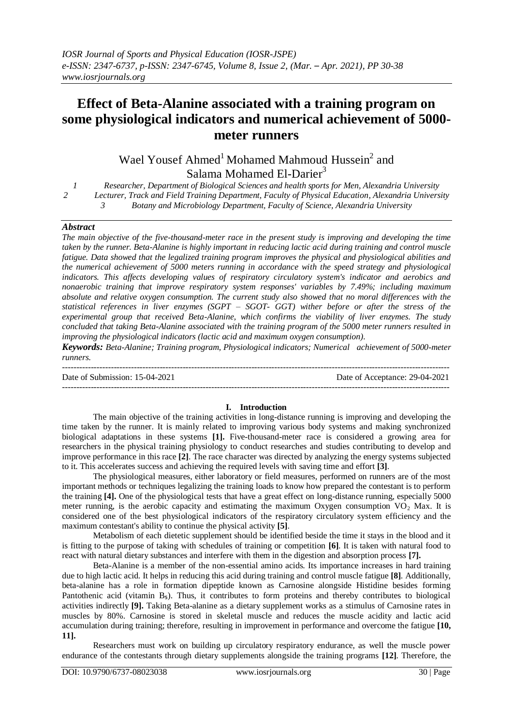## **Effect of Beta-Alanine associated with a training program on some physiological indicators and numerical achievement of 5000 meter runners**

Wael Yousef Ahmed<sup>1</sup> Mohamed Mahmoud Hussein<sup>2</sup> and Salama Mohamed El-Darier<sup>3</sup>

*1 Researcher, Department of Biological Sciences and health sports for Men, Alexandria University 2 Lecturer, Track and Field Training Department, Faculty of Physical Education, Alexandria University 3 Botany and Microbiology Department, Faculty of Science, Alexandria University*

#### *Abstract*

*The main objective of the five-thousand-meter race in the present study is improving and developing the time taken by the runner. Beta-Alanine is highly important in reducing lactic acid during training and control muscle fatigue. Data showed that the legalized training program improves the physical and physiological abilities and the numerical achievement of 5000 meters running in accordance with the speed strategy and physiological indicators. This affects developing values of respiratory circulatory system's indicator and aerobics and nonaerobic training that improve respiratory system responses' variables by 7.49%; including maximum absolute and relative oxygen consumption. The current study also showed that no moral differences with the statistical references in liver enzymes (SGPT – SGOT- GGT) wither before or after the stress of the experimental group that received Beta-Alanine, which confirms the viability of liver enzymes. The study concluded that taking Beta-Alanine associated with the training program of the 5000 meter runners resulted in improving the physiological indicators (lactic acid and maximum oxygen consumption).*

*Keywords: Beta-Alanine; Training program, Physiological indicators; Numerical achievement of 5000-meter runners.*

--------------------------------------------------------------------------------------------------------------------------------------- Date of Submission: 15-04-2021 Date of Acceptance: 29-04-2021 ---------------------------------------------------------------------------------------------------------------------------------------

#### **I. Introduction**

The main objective of the training activities in long-distance running is improving and developing the time taken by the runner. It is mainly related to improving various body systems and making synchronized biological adaptations in these systems **[1].** Five-thousand-meter race is considered a growing area for researchers in the physical training physiology to conduct researches and studies contributing to develop and improve performance in this race **[2]**. The race character was directed by analyzing the energy systems subjected to it. This accelerates success and achieving the required levels with saving time and effort **[3]**.

The physiological measures, either laboratory or field measures, performed on runners are of the most important methods or techniques legalizing the training loads to know how prepared the contestant is to perform the training **[4].** One of the physiological tests that have a great effect on long-distance running, especially 5000 meter running, is the aerobic capacity and estimating the maximum Oxygen consumption  $VO<sub>2</sub>$  Max. It is considered one of the best physiological indicators of the respiratory circulatory system efficiency and the maximum contestant's ability to continue the physical activity **[5]**.

Metabolism of each dietetic supplement should be identified beside the time it stays in the blood and it is fitting to the purpose of taking with schedules of training or competition **[6]**. It is taken with natural food to react with natural dietary substances and interfere with them in the digestion and absorption process **[7].** 

Beta-Alanine is a member of the non-essential amino acids. Its importance increases in hard training due to high lactic acid. It helps in reducing this acid during training and control muscle fatigue **[8]**. Additionally, beta-alanine has a role in formation dipeptide known as Carnosine alongside Histidine besides forming Pantothenic acid (vitamin  $B_5$ ). Thus, it contributes to form proteins and thereby contributes to biological activities indirectly **[9].** Taking Beta-alanine as a dietary supplement works as a stimulus of Carnosine rates in muscles by 80%. Carnosine is stored in skeletal muscle and reduces the muscle acidity and lactic acid accumulation during training; therefore, resulting in improvement in performance and overcome the fatigue **[10, 11].**

Researchers must work on building up circulatory respiratory endurance, as well the muscle power endurance of the contestants through dietary supplements alongside the training programs **[12]**. Therefore, the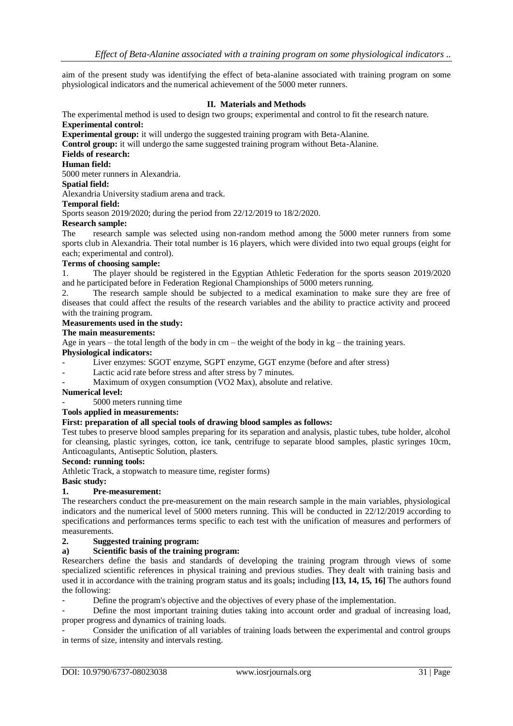aim of the present study was identifying the effect of beta-alanine associated with training program on some physiological indicators and the numerical achievement of the 5000 meter runners.

#### **II. Materials and Methods**

The experimental method is used to design two groups; experimental and control to fit the research nature. **Experimental control:**

**Experimental group:** it will undergo the suggested training program with Beta-Alanine.

**Control group:** it will undergo the same suggested training program without Beta-Alanine.

#### **Fields of research:**

## **Human field:**

5000 meter runners in Alexandria.

#### **Spatial field:**

Alexandria University stadium arena and track.

## **Temporal field:**

Sports season 2019/2020; during the period from 22/12/2019 to 18/2/2020.

# **Research sample:**

research sample was selected using non-random method among the 5000 meter runners from some sports club in Alexandria. Their total number is 16 players, which were divided into two equal groups (eight for each; experimental and control).

#### **Terms of choosing sample:**

1. The player should be registered in the Egyptian Athletic Federation for the sports season 2019/2020 and he participated before in Federation Regional Championships of 5000 meters running.

2. The research sample should be subjected to a medical examination to make sure they are free of diseases that could affect the results of the research variables and the ability to practice activity and proceed with the training program.

#### **Measurements used in the study:**

#### **The main measurements:**

Age in years – the total length of the body in  $cm$  – the weight of the body in kg – the training years.

## **Physiological indicators:**

- Liver enzymes: SGOT enzyme, SGPT enzyme, GGT enzyme (before and after stress)
- Lactic acid rate before stress and after stress by 7 minutes.
- Maximum of oxygen consumption (VO2 Max), absolute and relative.

## **Numerical level:**

- 5000 meters running time

## **Tools applied in measurements:**

## **First: preparation of all special tools of drawing blood samples as follows:**

Test tubes to preserve blood samples preparing for its separation and analysis, plastic tubes, tube holder, alcohol for cleansing, plastic syringes, cotton, ice tank, centrifuge to separate blood samples, plastic syringes 10cm, Anticoagulants, Antiseptic Solution, plasters.

#### **Second: running tools:**

Athletic Track, a stopwatch to measure time, register forms)

#### **Basic study:**

#### **1. Pre-measurement:**

The researchers conduct the pre-measurement on the main research sample in the main variables, physiological indicators and the numerical level of 5000 meters running. This will be conducted in 22/12/2019 according to specifications and performances terms specific to each test with the unification of measures and performers of measurements.

#### **2. Suggested training program:**

## **a) Scientific basis of the training program:**

Researchers define the basis and standards of developing the training program through views of some specialized scientific references in physical training and previous studies. They dealt with training basis and used it in accordance with the training program status and its goals**;** including **[13, 14, 15, 16]** The authors found the following:

Define the program's objective and the objectives of every phase of the implementation.

Define the most important training duties taking into account order and gradual of increasing load, proper progress and dynamics of training loads.

- Consider the unification of all variables of training loads between the experimental and control groups in terms of size, intensity and intervals resting.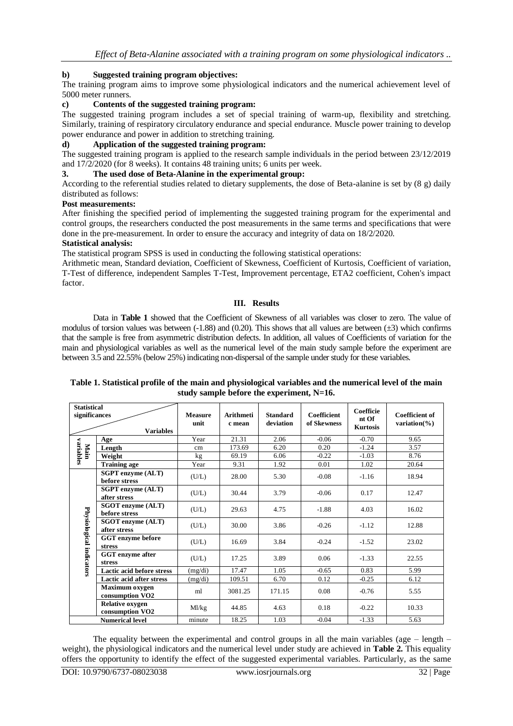## **b) Suggested training program objectives:**

The training program aims to improve some physiological indicators and the numerical achievement level of 5000 meter runners.

## **c) Contents of the suggested training program:**

The suggested training program includes a set of special training of warm-up, flexibility and stretching. Similarly, training of respiratory circulatory endurance and special endurance. Muscle power training to develop power endurance and power in addition to stretching training.

## **d) Application of the suggested training program:**

The suggested training program is applied to the research sample individuals in the period between 23/12/2019 and 17/2/2020 (for 8 weeks). It contains 48 training units; 6 units per week.

## **3. The used dose of Beta-Alanine in the experimental group:**

According to the referential studies related to dietary supplements, the dose of Beta-alanine is set by (8 g) daily distributed as follows:

## **Post measurements:**

After finishing the specified period of implementing the suggested training program for the experimental and control groups, the researchers conducted the post measurements in the same terms and specifications that were done in the pre-measurement. In order to ensure the accuracy and integrity of data on 18/2/2020.

## **Statistical analysis:**

The statistical program SPSS is used in conducting the following statistical operations:

Arithmetic mean, Standard deviation, Coefficient of Skewness, Coefficient of Kurtosis, Coefficient of variation, T-Test of difference, independent Samples T-Test, Improvement percentage, ETA2 coefficient, Cohen's impact factor.

## **III. Results**

Data in **Table 1** showed that the Coefficient of Skewness of all variables was closer to zero. The value of modulus of torsion values was between  $(-1.88)$  and  $(0.20)$ . This shows that all values are between  $(\pm 3)$  which confirms that the sample is free from asymmetric distribution defects. In addition, all values of Coefficients of variation for the main and physiological variables as well as the numerical level of the main study sample before the experiment are between 3.5 and 22.55% (below 25%) indicating non-dispersal of the sample under study for these variables.

|                          | <b>Statistical</b><br>significances<br><b>Variables</b> |         | <b>Arithmeti</b><br>c mean | <b>Standard</b><br>deviation | <b>Coefficient</b><br>of Skewness | Coefficie<br>nt Of<br><b>Kurtosis</b> | Coefficient of<br>variation( $\%$ ) |
|--------------------------|---------------------------------------------------------|---------|----------------------------|------------------------------|-----------------------------------|---------------------------------------|-------------------------------------|
|                          | Age                                                     | Year    | 21.31                      | 2.06                         | $-0.06$                           | $-0.70$                               | 9.65                                |
| variables                | Length                                                  | cm      | 173.69                     | 6.20                         | 0.20                              | $-1.24$                               | 3.57                                |
| Main                     | Weight                                                  | kg      | 69.19                      | 6.06                         | $-0.22$                           | $-1.03$                               | 8.76                                |
|                          | <b>Training age</b>                                     | Year    | 9.31                       | 1.92                         | 0.01                              | 1.02                                  | 20.64                               |
|                          | <b>SGPT</b> enzyme (ALT)<br>before stress               | (U/L)   | 28.00                      | 5.30                         | $-0.08$                           | $-1.16$                               | 18.94                               |
|                          | <b>SGPT</b> enzyme (ALT)<br>after stress                | (U/L)   | 30.44                      | 3.79                         | $-0.06$                           | 0.17                                  | 12.47                               |
|                          | SGOT enzyme (ALT)<br>before stress                      | (U/L)   | 29.63                      | 4.75                         | $-1.88$                           | 4.03                                  | 16.02                               |
|                          | <b>SGOT</b> enzyme (ALT)<br>after stress                | (U/L)   | 30.00                      | 3.86                         | $-0.26$                           | $-1.12$                               | 12.88                               |
| Physiological indicators | GGT enzyme before<br>stress                             | (U/L)   | 16.69                      | 3.84                         | $-0.24$                           | $-1.52$                               | 23.02                               |
|                          | <b>GGT</b> enzyme after<br>stress                       | (U/L)   | 17.25                      | 3.89                         | 0.06                              | $-1.33$                               | 22.55                               |
|                          | <b>Lactic acid before stress</b>                        | (mg/di) | 17.47                      | 1.05                         | $-0.65$                           | 0.83                                  | 5.99                                |
|                          | Lactic acid after stress                                | (mg/di) | 109.51                     | 6.70                         | 0.12                              | $-0.25$                               | 6.12                                |
|                          | Maximum oxygen<br>consumption VO <sub>2</sub>           | ml      | 3081.25                    | 0.08<br>171.15               |                                   | $-0.76$                               | 5.55                                |
|                          | <b>Relative oxygen</b><br>consumption VO <sub>2</sub>   | Ml/kg   | 44.85                      | 4.63                         | 0.18                              | $-0.22$                               | 10.33                               |
|                          | <b>Numerical level</b>                                  | minute  | 18.25                      | 1.03                         | $-0.04$                           | $-1.33$                               | 5.63                                |

#### **Table 1. Statistical profile of the main and physiological variables and the numerical level of the main study sample before the experiment, N=16.**

The equality between the experimental and control groups in all the main variables (age  $-$  length  $$ weight), the physiological indicators and the numerical level under study are achieved in **Table 2.** This equality offers the opportunity to identify the effect of the suggested experimental variables. Particularly, as the same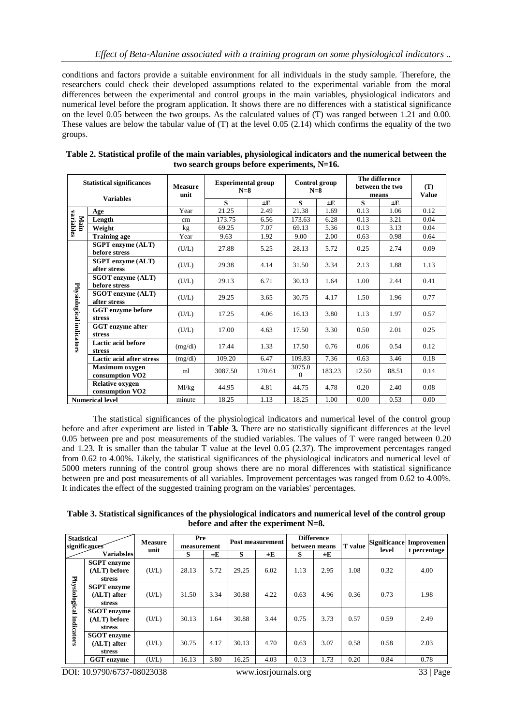conditions and factors provide a suitable environment for all individuals in the study sample. Therefore, the researchers could check their developed assumptions related to the experimental variable from the moral differences between the experimental and control groups in the main variables, physiological indicators and numerical level before the program application. It shows there are no differences with a statistical significance on the level 0.05 between the two groups. As the calculated values of (T) was ranged between 1.21 and 0.00. These values are below the tabular value of (T) at the level 0.05 (2.14) which confirms the equality of the two groups.

| <b>Statistical significances</b> |                                                       | <b>Measure</b><br>unit | <b>Experimental group</b><br>$N=8$ |         |                          | Control group<br>$N=8$ | The difference<br>between the two<br>means | (T)<br><b>Value</b> |      |
|----------------------------------|-------------------------------------------------------|------------------------|------------------------------------|---------|--------------------------|------------------------|--------------------------------------------|---------------------|------|
|                                  | <b>Variables</b>                                      |                        | S                                  | $\pm E$ | S                        | $\pm E$                | $\bf s$                                    | $\pm E$             |      |
|                                  | Age                                                   | Year                   | 21.25                              | 2.49    | 21.38                    | 1.69                   | 0.13                                       | 1.06                | 0.12 |
| variables<br>Main                | Length                                                | cm                     | 173.75                             | 6.56    | 173.63                   | 6.28                   | 0.13                                       | 3.21                | 0.04 |
|                                  | Weight                                                | kg <sub>2</sub>        | 69.25                              | 7.07    | 69.13                    | 5.36                   | 0.13                                       | 3.13                | 0.04 |
|                                  | <b>Training age</b>                                   | Year                   | 9.63                               | 1.92    | 9.00                     | 2.00                   | 0.63                                       | 0.98                | 0.64 |
|                                  | <b>SGPT</b> enzyme (ALT)<br>before stress             | (U/L)                  | 27.88                              | 5.25    | 28.13                    | 5.72                   | 0.25                                       | 2.74                | 0.09 |
|                                  | <b>SGPT</b> enzyme (ALT)<br>after stress              | (U/L)                  | 29.38                              | 4.14    | 31.50                    | 3.34                   | 2.13                                       | 1.88                | 1.13 |
|                                  | <b>SGOT</b> enzyme (ALT)<br>before stress             | (U/L)                  | 29.13                              | 6.71    | 30.13                    | 1.64                   | 1.00                                       | 2.44                | 0.41 |
|                                  | <b>SGOT</b> enzyme (ALT)<br>after stress              | (U/L)                  | 29.25                              | 3.65    | 30.75                    | 4.17                   | 1.50                                       | 1.96                | 0.77 |
| Physiological indicators         | GGT enzyme before<br>stress                           | (U/L)                  | 17.25                              | 4.06    | 16.13                    | 3.80                   | 1.13                                       | 1.97                | 0.57 |
|                                  | GGT enzyme after<br>stress                            | (U/L)                  | 17.00                              | 4.63    | 17.50                    | 3.30                   | 0.50                                       | 2.01                | 0.25 |
|                                  | Lactic acid before<br><b>stress</b>                   | (mg/di)                | 17.44                              | 1.33    | 17.50                    | 0.76                   | 0.06                                       | 0.54                | 0.12 |
|                                  | <b>Lactic acid after stress</b>                       | (mg/di)                | 109.20                             | 6.47    | 109.83                   | 7.36                   | 0.63                                       | 3.46                | 0.18 |
|                                  | Maximum oxygen<br>consumption VO <sub>2</sub>         | ml                     | 3087.50                            | 170.61  | 3075.0<br>$\overline{0}$ | 183.23                 | 12.50                                      | 88.51               | 0.14 |
|                                  | <b>Relative oxygen</b><br>consumption VO <sub>2</sub> | Ml/kg                  | 44.95                              | 4.81    | 44.75                    | 4.78                   | 0.20                                       | 2.40                | 0.08 |
|                                  | <b>Numerical level</b>                                | minute                 | 18.25                              | 1.13    | 18.25                    | 1.00                   | 0.00                                       | 0.53                | 0.00 |

| Table 2. Statistical profile of the main variables, physiological indicators and the numerical between the |
|------------------------------------------------------------------------------------------------------------|
| two search groups before experiments, $N=16$ .                                                             |

The statistical significances of the physiological indicators and numerical level of the control group before and after experiment are listed in **Table 3.** There are no statistically significant differences at the level 0.05 between pre and post measurements of the studied variables. The values of T were ranged between 0.20 and 1.23. It is smaller than the tabular T value at the level 0.05 (2.37). The improvement percentages ranged from 0.62 to 4.00%. Likely, the statistical significances of the physiological indicators and numerical level of 5000 meters running of the control group shows there are no moral differences with statistical significance between pre and post measurements of all variables. Improvement percentages was ranged from 0.62 to 4.00%. It indicates the effect of the suggested training program on the variables' percentages.

**Table 3. Statistical significances of the physiological indicators and numerical level of the control group before and after the experiment N=8.**

| <b>Statistical</b> | significances      | <b>Measure</b><br>unit | Pre<br>measurement |      |       | Post measurement |      | <b>Difference</b><br>between means |      | level | Significance Improvemen<br>t percentage |
|--------------------|--------------------|------------------------|--------------------|------|-------|------------------|------|------------------------------------|------|-------|-----------------------------------------|
| <b>Variabsles</b>  |                    |                        | S                  | ±Ε   | S     | $\pm E$          | S    | $\pm E$                            |      |       |                                         |
|                    | <b>SGPT</b> enzyme |                        |                    |      |       |                  |      |                                    |      |       |                                         |
|                    | (ALT) before       | (U/L)                  | 28.13              | 5.72 | 29.25 | 6.02             | 1.13 | 2.95                               | 1.08 | 0.32  | 4.00                                    |
|                    | stress             |                        |                    |      |       |                  |      |                                    |      |       |                                         |
| Physiological      | <b>SGPT</b> enzyme |                        |                    |      |       |                  |      |                                    |      |       |                                         |
|                    | $(ALT)$ after      | (U/L)                  | 31.50              | 3.34 | 30.88 | 4.22             | 0.63 | 4.96                               | 0.36 | 0.73  | 1.98                                    |
|                    | stress             |                        |                    |      |       |                  |      |                                    |      |       |                                         |
|                    | <b>SGOT</b> enzyme |                        |                    |      |       |                  |      |                                    |      |       |                                         |
|                    | (ALT) before       | (U/L)                  | 30.13              | 1.64 | 30.88 | 3.44             | 0.75 | 3.73                               | 0.57 | 0.59  | 2.49                                    |
|                    | stress             |                        |                    |      |       |                  |      |                                    |      |       |                                         |
| indicators         | <b>SGOT</b> enzyme |                        |                    |      |       |                  |      |                                    |      |       |                                         |
|                    | $(ALT)$ after      | (U/L)                  | 30.75              | 4.17 | 30.13 | 4.70             | 0.63 | 3.07                               | 0.58 | 0.58  | 2.03                                    |
|                    | stress             |                        |                    |      |       |                  |      |                                    |      |       |                                         |
|                    | <b>GGT</b> enzyme  | (U/L)                  | 16.13              | 3.80 | 16.25 | 4.03             | 0.13 | 1.73                               | 0.20 | 0.84  | 0.78                                    |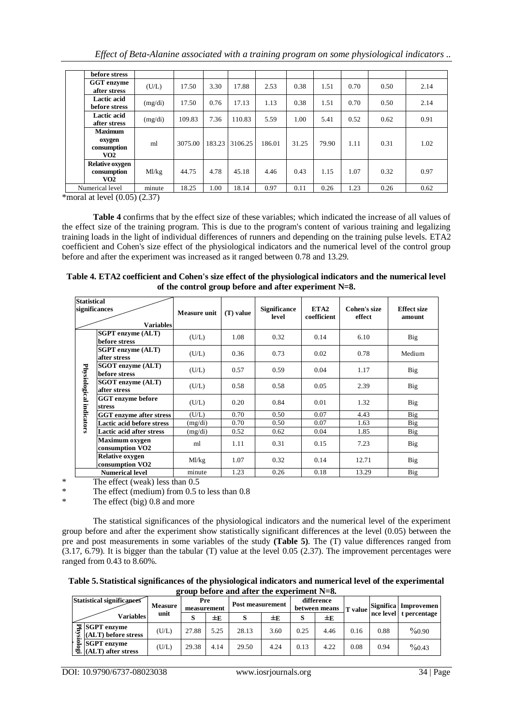| before stress                                              |         |         |        |         |        |       |       |      |      |      |
|------------------------------------------------------------|---------|---------|--------|---------|--------|-------|-------|------|------|------|
| GGT enzyme<br>after stress                                 | (U/L)   | 17.50   | 3.30   | 17.88   | 2.53   | 0.38  | 1.51  | 0.70 | 0.50 | 2.14 |
| Lactic acid<br>before stress                               | (mg/di) | 17.50   | 0.76   | 17.13   | 1.13   | 0.38  | 1.51  | 0.70 | 0.50 | 2.14 |
| Lactic acid<br>after stress                                | (mg/di) | 109.83  | 7.36   | 110.83  | 5.59   | 1.00  | 5.41  | 0.52 | 0.62 | 0.91 |
| <b>Maximum</b><br>oxygen<br>consumption<br>VO <sub>2</sub> | ml      | 3075.00 | 183.23 | 3106.25 | 186.01 | 31.25 | 79.90 | 1.11 | 0.31 | 1.02 |
| <b>Relative oxygen</b><br>consumption<br>VO2               | Ml/kg   | 44.75   | 4.78   | 45.18   | 4.46   | 0.43  | 1.15  | 1.07 | 0.32 | 0.97 |
| Numerical level                                            | minute  | 18.25   | 00.1   | 18.14   | 0.97   | 0.11  | 0.26  | 1.23 | 0.26 | 0.62 |

 $*$ moral at level  $(0.05)$   $(2.37)$ 

**Table 4** confirms that by the effect size of these variables; which indicated the increase of all values of the effect size of the training program. This is due to the program's content of various training and legalizing training loads in the light of individual differences of runners and depending on the training pulse levels. ETA2 coefficient and Cohen's size effect of the physiological indicators and the numerical level of the control group before and after the experiment was increased as it ranged between 0.78 and 13.29.

| Table 4. ETA2 coefficient and Cohen's size effect of the physiological indicators and the numerical level |
|-----------------------------------------------------------------------------------------------------------|
| of the control group before and after experiment $N=8$ .                                                  |

| <b>Statistical</b><br>significances | <b>Variables</b>                                      | <b>Measure unit</b>  | (T) value | <b>Significance</b><br>level | ETA <sub>2</sub><br>coefficient | Cohen's size<br>effect | <b>Effect size</b><br>amount |
|-------------------------------------|-------------------------------------------------------|----------------------|-----------|------------------------------|---------------------------------|------------------------|------------------------------|
|                                     | <b>SGPT</b> enzyme (ALT)<br>before stress             | (U/L)                | 1.08      | 0.32                         | 0.14                            | 6.10                   | <b>Big</b>                   |
|                                     | <b>SGPT</b> enzyme (ALT)<br>after stress              | (U/L)                | 0.36      | 0.73                         | 0.02                            | 0.78                   | Medium                       |
|                                     | <b>SGOT</b> enzyme (ALT)<br>before stress             | (U/L)                | 0.57      | 0.59                         | 0.04                            | 1.17                   | Big                          |
| Physiological                       | <b>SGOT</b> enzyme (ALT)<br>after stress              | (U/L)                | 0.58      | 0.58                         | 0.05                            | 2.39                   | Big                          |
|                                     | <b>GGT</b> enzyme before<br>stress                    | (U/L)                | 0.20      | 0.84                         | 0.01                            | 1.32                   | <b>Big</b>                   |
| indicators                          | <b>GGT</b> enzyme after stress                        | (U/L)                | 0.70      | 0.50                         | 0.07                            | 4.43                   | <b>Big</b>                   |
|                                     | <b>Lactic acid before stress</b>                      | (mg/di)              | 0.70      | 0.50                         | 0.07                            | 1.63                   | <b>Big</b>                   |
|                                     | <b>Lactic acid after stress</b>                       | (mg/di)              | 0.52      | 0.62                         | 0.04                            | 1.85                   | Big                          |
|                                     | <b>Maximum oxygen</b><br>consumption VO <sub>2</sub>  | ml                   | 1.11      | 0.31                         | 0.15                            | 7.23                   | Big                          |
|                                     | <b>Relative oxygen</b><br>consumption VO <sub>2</sub> | Ml/kg                | 1.07      | 0.32                         | 0.14                            | 12.71                  | Big                          |
|                                     | <b>Numerical level</b><br>.<br>$\sim$ $\sim$          | minute<br>$\sim$ $-$ | 1.23      | 0.26                         | 0.18                            | 13.29                  | Big                          |

\* The effect (weak) less than 0.5

\* The effect (medium) from 0.5 to less than 0.8

\* The effect (big) 0.8 and more

The statistical significances of the physiological indicators and the numerical level of the experiment group before and after the experiment show statistically significant differences at the level (0.05) between the pre and post measurements in some variables of the study **(Table 5)**. The (T) value differences ranged from (3.17, 6.79). It is bigger than the tabular (T) value at the level 0.05 (2.37). The improvement percentages were ranged from 0.43 to 8.60%.

**Table 5.Statistical significances of the physiological indicators and numerical level of the experimental group before and after the experiment N=8.**

| Statistical significances                                    | Pre<br><b>Measure</b><br>measurement |       |      | Post measurement |      | difference<br>between means |      | <b>T</b> value |      | Significa Improvemen   |
|--------------------------------------------------------------|--------------------------------------|-------|------|------------------|------|-----------------------------|------|----------------|------|------------------------|
| Variables                                                    | unit                                 |       | ±Е   | Ø                | ±Е   |                             | ±Е   |                |      | nce level t percentage |
| $\mathbf{F}$ SGPT enzyme<br>(ALT) before stress              | (U/L)                                | 27.88 | 5.25 | 28.13            | 3.60 | 0.25                        | 4.46 | 0.16           | 0.88 | $\%0.90$               |
| $\approx$ SGPT enzyme<br>$\mathfrak{B}$ . (ALT) after stress | (U/L)                                | 29.38 | 4.14 | 29.50            | 4.24 | 0.13                        | 4.22 | 0.08           | 0.94 | $\%$ 0.43              |

DOI: 10.9790/6737-08023038 www.iosrjournals.org 34 | Page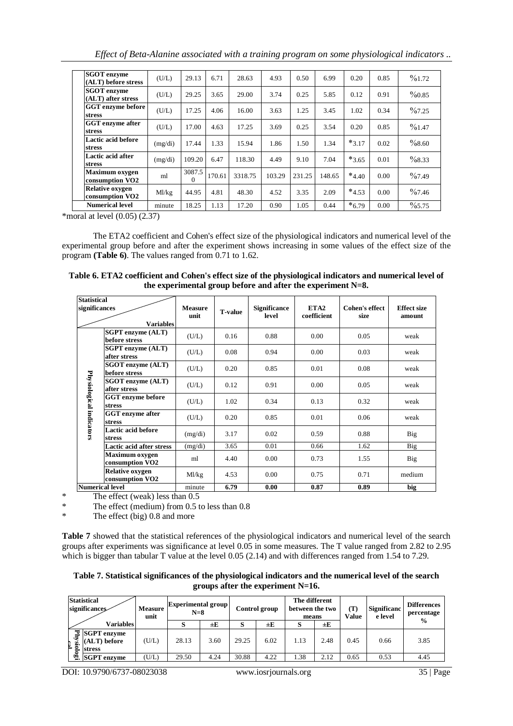*Effect of Beta-Alanine associated with a training program on some physiological indicators ..*

| <b>SGOT</b> enzyme<br>(ALT) before stress             | (U/L)   | 29.13              | 6.71   | 28.63   | 4.93   | 0.50   | 6.99   | 0.20       | 0.85 | $\%1.72$  |
|-------------------------------------------------------|---------|--------------------|--------|---------|--------|--------|--------|------------|------|-----------|
| <b>SGOT</b> enzyme<br>(ALT) after stress              | (U/L)   | 29.25              | 3.65   | 29.00   | 3.74   | 0.25   | 5.85   | 0.12       | 0.91 | $\%0.85$  |
| GGT enzyme before<br>stress                           | (U/L)   | 17.25              | 4.06   | 16.00   | 3.63   | 1.25   | 3.45   | 1.02       | 0.34 | $\%7.25$  |
| <b>GGT</b> enzyme after<br>stress                     | (U/L)   | 17.00              | 4.63   | 17.25   | 3.69   | 0.25   | 3.54   | 0.20       | 0.85 | $\%1.47$  |
| Lactic acid before<br>stress                          | (mg/di) | 17.44              | 1.33   | 15.94   | 1.86   | 1.50   | 1.34   | $*3.17$    | 0.02 | $\%8.60$  |
| Lactic acid after<br>stress                           | (mg/di) | 109.20             | 6.47   | 118.30  | 4.49   | 9.10   | 7.04   | $*3.65$    | 0.01 | $\%8.33$  |
| <b>Maximum oxygen</b><br>consumption VO <sub>2</sub>  | ml      | 3087.5<br>$\Omega$ | 170.61 | 3318.75 | 103.29 | 231.25 | 148.65 | $*_{4.40}$ | 0.00 | $\%7.49$  |
| <b>Relative oxygen</b><br>consumption VO <sub>2</sub> | Ml/kg   | 44.95              | 4.81   | 48.30   | 4.52   | 3.35   | 2.09   | $*_{4.53}$ | 0.00 | $\%7.46$  |
| <b>Numerical level</b>                                | minute  | 18.25              | 1.13   | 17.20   | 0.90   | 1.05   | 0.44   | $*_{6.79}$ | 0.00 | $\%$ 5.75 |

\*moral at level  $(0.05)$   $(2.37)$ 

The ETA2 coefficient and Cohen's effect size of the physiological indicators and numerical level of the experimental group before and after the experiment shows increasing in some values of the effect size of the program **(Table 6)**. The values ranged from 0.71 to 1.62.

| Table 6. ETA2 coefficient and Cohen's effect size of the physiological indicators and numerical level of |
|----------------------------------------------------------------------------------------------------------|
| the experimental group before and after the experiment $N=8$ .                                           |

| <b>Statistical</b>       |                                                       |         |                |                              |                                 |                               |                              |
|--------------------------|-------------------------------------------------------|---------|----------------|------------------------------|---------------------------------|-------------------------------|------------------------------|
|                          | significances<br><b>Variables</b>                     |         | <b>T-value</b> | <b>Significance</b><br>level | ETA <sub>2</sub><br>coefficient | <b>Cohen's effect</b><br>size | <b>Effect size</b><br>amount |
|                          | <b>SGPT</b> enzyme (ALT)<br>before stress             | (U/L)   | 0.16           | 0.88                         | 0.00                            | 0.05                          | weak                         |
|                          | <b>SGPT</b> enzyme (ALT)<br>after stress              | (U/L)   | 0.08           | 0.94                         | 0.00                            | 0.03                          | weak                         |
|                          | <b>SGOT</b> enzyme (ALT)<br>before stress             | (U/L)   | 0.20           | 0.85                         | 0.01                            | 0.08                          | weak                         |
|                          | SGOT enzyme (ALT)<br>after stress                     | (U/L)   | 0.12           | 0.91                         | 0.00                            | 0.05                          | weak                         |
|                          | <b>GGT</b> enzyme before<br><b>stress</b>             | (U/L)   | 1.02           | 0.34                         | 0.13                            | 0.32                          | weak                         |
| Physiological indicators | <b>GGT</b> enzyme after<br><b>stress</b>              | (U/L)   | 0.20           | 0.85                         | 0.01                            | 0.06                          | weak                         |
|                          | Lactic acid before<br>stress                          | (mg/di) | 3.17           | 0.02                         | 0.59                            | 0.88                          | Big                          |
|                          | <b>Lactic acid after stress</b>                       | (mg/di) | 3.65           | 0.01                         | 0.66                            | 1.62                          | <b>Big</b>                   |
|                          | Maximum oxygen<br>consumption VO2                     | ml      | 4.40           | 0.00                         | 0.73                            | 1.55                          | <b>Big</b>                   |
|                          | <b>Relative oxygen</b><br>consumption VO <sub>2</sub> | Ml/kg   | 4.53           | 0.00                         | 0.75                            | 0.71                          | medium                       |
|                          | <b>Numerical level</b>                                | minute  | 6.79           | 0.00                         | 0.87                            | 0.89                          | big                          |

\* The effect (weak) less than  $0.5$ <br>\* The effect (medium) from  $0.5$  t

\* The effect (medium) from 0.5 to less than 0.8<br>  $\frac{8}{100}$  The effect (hig) 0.8 and more

The effect (big)  $0.8$  and more

**Table 7** showed that the statistical references of the physiological indicators and numerical level of the search groups after experiments was significance at level 0.05 in some measures. The T value ranged from 2.82 to 2.95 which is bigger than tabular T value at the level 0.05 (2.14) and with differences ranged from 1.54 to 7.29.

**Table 7. Statistical significances of the physiological indicators and the numerical level of the search groups after the experiment N=16.**

| <b>Statistical</b><br>significances                             | <b>Measure</b><br>unit | <b>Experimental group</b><br>$N=8$ |         |       | Control group | The different<br>between the two<br>means |      | (T<br>Value | <b>Significanc</b><br>e level | <b>Differences</b><br>percentage<br>$\frac{0}{0}$ |
|-----------------------------------------------------------------|------------------------|------------------------------------|---------|-------|---------------|-------------------------------------------|------|-------------|-------------------------------|---------------------------------------------------|
| <b>Variables</b>                                                |                        | Ø                                  | $\pm E$ |       | ±Е            | S                                         | ±Ε   |             |                               |                                                   |
| ųЧ<br><b>SGPT</b> enzyme<br>$(ALT)$ before<br>≌.<br>ᇢ<br>stress | (U/L)                  | 28.13                              | 3.60    | 29.25 | 6.02          | 1.13                                      | 2.48 | 0.45        | 0.66                          | 3.85                                              |
| ≌.<br><b>SGPT</b> enzyme                                        | U/L)                   | 29.50                              | 4.24    | 30.88 | 4.22          | .38                                       | 2.12 | 0.65        | 0.53                          | 4.45                                              |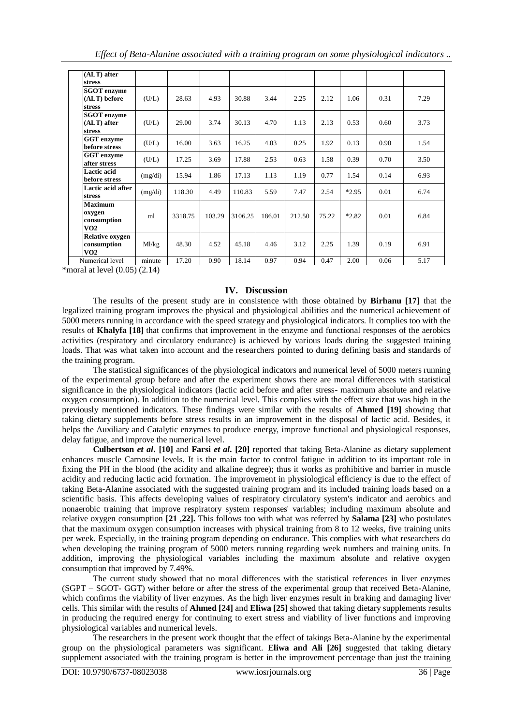| (ALT) after<br><b>stress</b>                               |         |         |        |         |        |        |       |         |      |      |
|------------------------------------------------------------|---------|---------|--------|---------|--------|--------|-------|---------|------|------|
| <b>SGOT</b> enzyme<br>(ALT) before<br><b>stress</b>        | (U/L)   | 28.63   | 4.93   | 30.88   | 3.44   | 2.25   | 2.12  | 1.06    | 0.31 | 7.29 |
| <b>SGOT</b> enzyme<br>(ALT) after<br><b>stress</b>         | (U/L)   | 29.00   | 3.74   | 30.13   | 4.70   | 1.13   | 2.13  | 0.53    | 0.60 | 3.73 |
| GGT enzyme<br>before stress                                | (U/L)   | 16.00   | 3.63   | 16.25   | 4.03   | 0.25   | 1.92  | 0.13    | 0.90 | 1.54 |
| GGT enzyme<br>after stress                                 | (U/L)   | 17.25   | 3.69   | 17.88   | 2.53   | 0.63   | 1.58  | 0.39    | 0.70 | 3.50 |
| Lactic acid<br>before stress                               | (mg/di) | 15.94   | 1.86   | 17.13   | 1.13   | 1.19   | 0.77  | 1.54    | 0.14 | 6.93 |
| Lactic acid after<br><b>stress</b>                         | (mg/di) | 118.30  | 4.49   | 110.83  | 5.59   | 7.47   | 2.54  | $*2.95$ | 0.01 | 6.74 |
| <b>Maximum</b><br>oxygen<br>consumption<br>VO <sub>2</sub> | ml      | 3318.75 | 103.29 | 3106.25 | 186.01 | 212.50 | 75.22 | $*2.82$ | 0.01 | 6.84 |
| <b>Relative oxygen</b><br>consumption<br>V <sub>O2</sub>   | Ml/kg   | 48.30   | 4.52   | 45.18   | 4.46   | 3.12   | 2.25  | 1.39    | 0.19 | 6.91 |
| Numerical level                                            | minute  | 17.20   | 0.90   | 18.14   | 0.97   | 0.94   | 0.47  | 2.00    | 0.06 | 5.17 |

 $*$ moral at level  $(0.05)$   $(2.14)$ 

## **IV. Discussion**

The results of the present study are in consistence with those obtained by **Birhanu [17]** that the legalized training program improves the physical and physiological abilities and the numerical achievement of 5000 meters running in accordance with the speed strategy and physiological indicators. It complies too with the results of **Khalyfa [18]** that confirms that improvement in the enzyme and functional responses of the aerobics activities (respiratory and circulatory endurance) is achieved by various loads during the suggested training loads. That was what taken into account and the researchers pointed to during defining basis and standards of the training program.

The statistical significances of the physiological indicators and numerical level of 5000 meters running of the experimental group before and after the experiment shows there are moral differences with statistical significance in the physiological indicators (lactic acid before and after stress- maximum absolute and relative oxygen consumption). In addition to the numerical level. This complies with the effect size that was high in the previously mentioned indicators. These findings were similar with the results of **Ahmed [19]** showing that taking dietary supplements before stress results in an improvement in the disposal of lactic acid. Besides, it helps the Auxiliary and Catalytic enzymes to produce energy, improve functional and physiological responses, delay fatigue, and improve the numerical level.

**Culbertson** *et al***. [10]** and **Farsi** *et al***. [20]** reported that taking Beta-Alanine as dietary supplement enhances muscle Carnosine levels. It is the main factor to control fatigue in addition to its important role in fixing the PH in the blood (the acidity and alkaline degree); thus it works as prohibitive and barrier in muscle acidity and reducing lactic acid formation. The improvement in physiological efficiency is due to the effect of taking Beta-Alanine associated with the suggested training program and its included training loads based on a scientific basis. This affects developing values of respiratory circulatory system's indicator and aerobics and nonaerobic training that improve respiratory system responses' variables; including maximum absolute and relative oxygen consumption **[21 ,22].** This follows too with what was referred by **Salama [23]** who postulates that the maximum oxygen consumption increases with physical training from 8 to 12 weeks, five training units per week. Especially, in the training program depending on endurance. This complies with what researchers do when developing the training program of 5000 meters running regarding week numbers and training units. In addition, improving the physiological variables including the maximum absolute and relative oxygen consumption that improved by 7.49%.

The current study showed that no moral differences with the statistical references in liver enzymes (SGPT – SGOT- GGT) wither before or after the stress of the experimental group that received Beta-Alanine, which confirms the viability of liver enzymes. As the high liver enzymes result in braking and damaging liver cells. This similar with the results of **Ahmed [24]** and **Eliwa [25]** showed that taking dietary supplements results in producing the required energy for continuing to exert stress and viability of liver functions and improving physiological variables and numerical levels.

The researchers in the present work thought that the effect of takings Beta-Alanine by the experimental group on the physiological parameters was significant. **Eliwa and Ali [26]** suggested that taking dietary supplement associated with the training program is better in the improvement percentage than just the training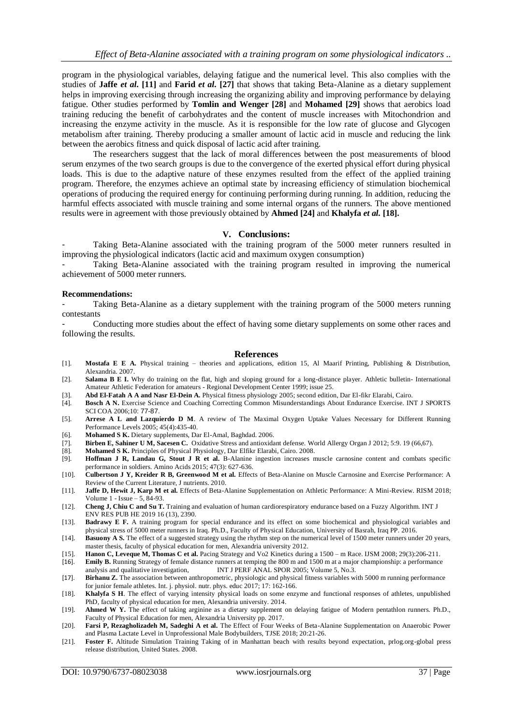program in the physiological variables, delaying fatigue and the numerical level. This also complies with the studies of **Jaffe** *et al***. [11]** and **Farid** *et al***. [27]** that shows that taking Beta-Alanine as a dietary supplement helps in improving exercising through increasing the organizing ability and improving performance by delaying fatigue. Other studies performed by **Tomlin and Wenger [28]** and **Mohamed [29]** shows that aerobics load training reducing the benefit of carbohydrates and the content of muscle increases with Mitochondrion and increasing the enzyme activity in the muscle. As it is responsible for the low rate of glucose and Glycogen metabolism after training. Thereby producing a smaller amount of lactic acid in muscle and reducing the link between the aerobics fitness and quick disposal of lactic acid after training.

The researchers suggest that the lack of moral differences between the post measurements of blood serum enzymes of the two search groups is due to the convergence of the exerted physical effort during physical loads. This is due to the adaptive nature of these enzymes resulted from the effect of the applied training program. Therefore, the enzymes achieve an optimal state by increasing efficiency of stimulation biochemical operations of producing the required energy for continuing performing during running. In addition, reducing the harmful effects associated with muscle training and some internal organs of the runners. The above mentioned results were in agreement with those previously obtained by **Ahmed [24]** and **Khalyfa** *et al.* **[18].** 

#### **V. Conclusions:**

Taking Beta-Alanine associated with the training program of the 5000 meter runners resulted in improving the physiological indicators (lactic acid and maximum oxygen consumption)

Taking Beta-Alanine associated with the training program resulted in improving the numerical achievement of 5000 meter runners.

#### **Recommendations:**

Taking Beta-Alanine as a dietary supplement with the training program of the 5000 meters running contestants

- Conducting more studies about the effect of having some dietary supplements on some other races and following the results.

#### **References**

- [1]. **Mostafa E E A.** Physical training theories and applications, edition 15, Al Maarif Printing, Publishing & Distribution, Alexandria. 2007.
- [2]. **Salama B E I.** Why do training on the flat, high and sloping ground for a long-distance player. Athletic bulletin- International Amateur Athletic Federation for amateurs - Regional Development Center 1999; issue 25.
- [3]. **Abd El-Fatah A A and Nasr El-Dein A.** Physical fitness physiology 2005; second edition, Dar El-fikr Elarabi, Cairo.
- [4]. **Bosch A N.** Exercise Science and Coaching Correcting Common Misunderstandings About Endurance Exercise. INT J SPORTS SCI COA 2006;10: 77-87.
- [5]. **Arrese A L and Lazquierdo D M**. A review of The Maximal Oxygen Uptake Values Necessary for Different Running Performance Levels 2005; 45(4):435-40.
- [6]. **Mohamed S K.** Dietary supplements, Dar El-Amal, Baghdad. 2006.
- [7]. **Birben E, Sahiner U M, Sacesen C.** Oxidative Stress and antioxidant defense. World Allergy Organ J 2012; 5:9. 19 (66,67).
- [8]. **Mohamed S K.** Principles of Physical Physiology, Dar Elfikr Elarabi, Cairo. 2008.
- [9]. **Hoffman J R, Landau G, Stout J R et al.** Β-Alanine ingestion increases muscle carnosine content and combats specific performance in soldiers. Amino Acids 2015; 47(3): 627-636.
- [10]. **Culbertson J Y, Kreider R B, Greenwood M et al.** Effects of Beta-Alanine on Muscle Carnosine and Exercise Performance: A Review of the Current Literature, J nutrients. 2010.
- [11]. **Jaffe D, Hewit J, Karp M et al.** Effects of Beta-Alanine Supplementation on Athletic Performance: A Mini-Review. RISM 2018; Volume 1 - Issue – 5, 84-93.
- [12]. **[Cheng](https://www.ncbi.nlm.nih.gov/pubmed/?term=Cheng%20JC%5BAuthor%5D&cauthor=true&cauthor_uid=31284468) J, [Chiu](https://www.ncbi.nlm.nih.gov/pubmed/?term=Chiu%20CY%5BAuthor%5D&cauthor=true&cauthor_uid=31284468) C and [Su](https://www.ncbi.nlm.nih.gov/pubmed/?term=Su%20TJ%5BAuthor%5D&cauthor=true&cauthor_uid=31284468) T.** Training and evaluation of human cardiorespiratory endurance based on a Fuzzy Algorithm. INT J ENV RES PUB HE 2019 16 (13), 2390.
- [13]. **Badrawy E F.** A training program for special endurance and its effect on some biochemical and physiological variables and physical stress of 5000 meter runners in Iraq. Ph.D., Faculty of Physical Education, University of Basrah, Iraq PP. 2016.
- [14]. **Basuony A S.** The effect of a suggested strategy using the rhythm step on the numerical level of 1500 meter runners under 20 years, master thesis, faculty of physical education for men, Alexandria university 2012.
- [15]. **Hanon C, Leveque M, Thomas C et al.** Pacing Strategy and Vo2 Kinetics during a 1500 m Race. IJSM 2008; 29(3):206-211.
- [16]. **Emily B.** Running Strategy of female distance runners at temping the 800 m and 1500 m at a major championship: a performance analysis and qualitative investigation, INT J PERF ANAL SPOR 2005; Volume 5, No.3.
- [17]. **Birhanu Z.** The association between anthropometric, physiologic and physical fitness variables with 5000 m running performance for junior female athletes. Int. j. physiol. nutr. phys. educ 2017; 17: 162-166.
- [18]. **Khalyfa S H**. The effect of varying intensity physical loads on some enzyme and functional responses of athletes, unpublished PhD, faculty of physical education for men, Alexandria university. 2014.
- [19]. **Ahmed W Y.** The effect of taking arginine as a dietary supplement on delaying fatigue of Modern pentathlon runners. Ph.D., Faculty of Physical Education for men, Alexandria University pp. 2017.
- [20]. **Farsi P, Rezagholizadeh M, Sadeghi A et al.** The Effect of Four Weeks of Beta-Alanine Supplementation on Anaerobic Power and Plasma Lactate Level in Unprofessional Male Bodybuilders, TJSE 2018; 20:21-26.
- [21]. **Foster F.** Altitude Simulation Training Taking of in Manhattan beach with results beyond expectation, prlog.org-global press release distribution, United States. 2008.